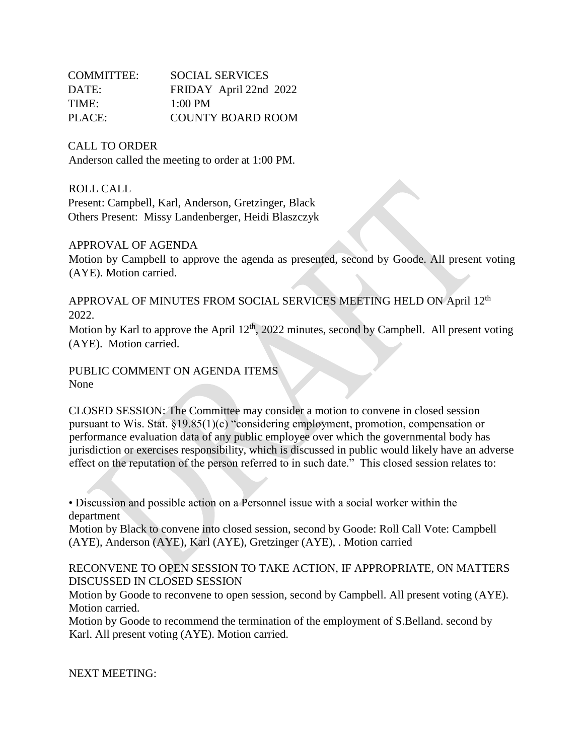| COMMITTEE: | <b>SOCIAL SERVICES</b>   |
|------------|--------------------------|
| DATE:      | FRIDAY April 22nd 2022   |
| TIME:      | $1:00 \text{ PM}$        |
| PLACE:     | <b>COUNTY BOARD ROOM</b> |

CALL TO ORDER

Anderson called the meeting to order at 1:00 PM.

ROLL CALL

Present: Campbell, Karl, Anderson, Gretzinger, Black Others Present: Missy Landenberger, Heidi Blaszczyk

## APPROVAL OF AGENDA

Motion by Campbell to approve the agenda as presented, second by Goode. All present voting (AYE). Motion carried.

APPROVAL OF MINUTES FROM SOCIAL SERVICES MEETING HELD ON April 12<sup>th</sup> 2022.

Motion by Karl to approve the April  $12<sup>th</sup>$ , 2022 minutes, second by Campbell. All present voting (AYE). Motion carried.

PUBLIC COMMENT ON AGENDA ITEMS None

CLOSED SESSION: The Committee may consider a motion to convene in closed session pursuant to Wis. Stat. §19.85(1)(c) "considering employment, promotion, compensation or performance evaluation data of any public employee over which the governmental body has jurisdiction or exercises responsibility, which is discussed in public would likely have an adverse effect on the reputation of the person referred to in such date." This closed session relates to:

• Discussion and possible action on a Personnel issue with a social worker within the department

Motion by Black to convene into closed session, second by Goode: Roll Call Vote: Campbell (AYE), Anderson (AYE), Karl (AYE), Gretzinger (AYE), . Motion carried

RECONVENE TO OPEN SESSION TO TAKE ACTION, IF APPROPRIATE, ON MATTERS DISCUSSED IN CLOSED SESSION

Motion by Goode to reconvene to open session, second by Campbell. All present voting (AYE). Motion carried.

Motion by Goode to recommend the termination of the employment of S.Belland. second by Karl. All present voting (AYE). Motion carried.

NEXT MEETING: